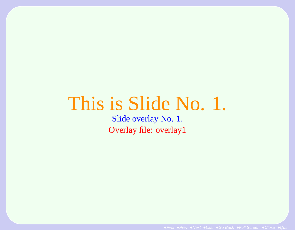# This is Slide No. 1.

Slide overlay No. 1. Overlay file: overlay1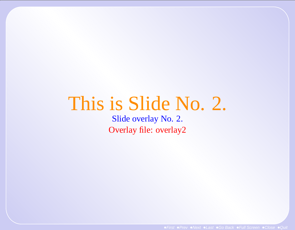# This is Slide No. 2.

Slide overlay No. 2. Overlay file: overlay2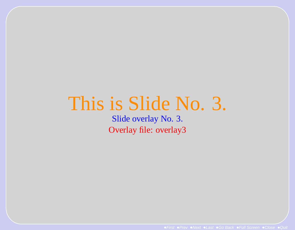#### This is Slide No. 3.

Slide overlay No. 3. Overlay file: overlay3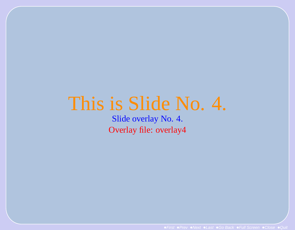#### This is Slide No. 4.

Slide overlay No. 4. Overlay file: overlay4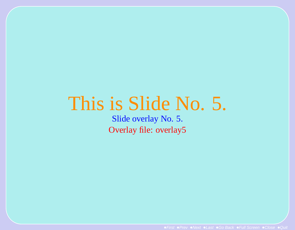#### This is Slide No. 5.

Slide overlay No. 5. Overlay file: overlay5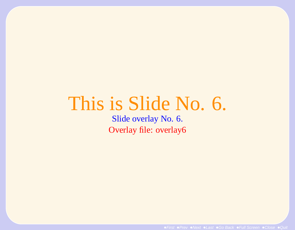# This is Slide No. 6.

Slide overlay No. 6. Overlay file: overlay6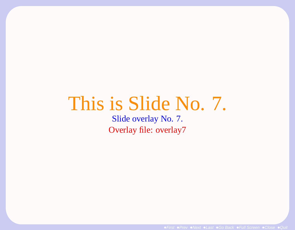## This is Slide No. 7.

Slide overlay No. 7. Overlay file: overlay7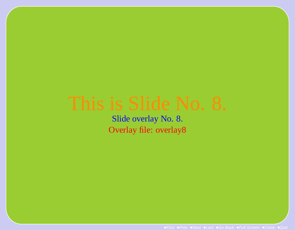Slide overlay No. 8. Overlay file: overlay8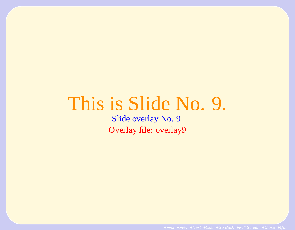## This is Slide No. 9.

Slide overlay No. 9. Overlay file: overlay9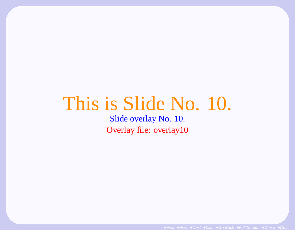## This is Slide No. 10.

Slide overlay No. 10. Overlay file: overlay10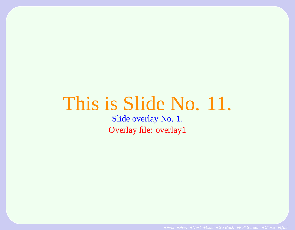## This is Slide No. 11.

Slide overlay No. 1. Overlay file: overlay1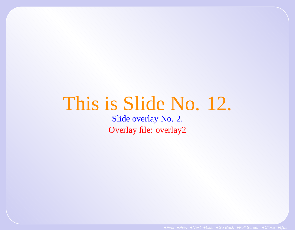# This is Slide No. 12.

Slide overlay No. 2. Overlay file: overlay2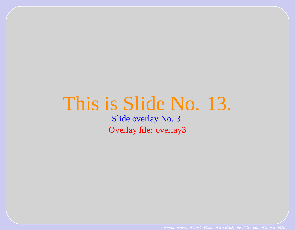#### This is Slide No. 13.

Slide overlay No. 3. Overlay file: overlay3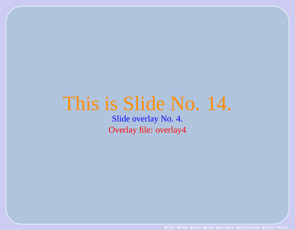## This is Slide No. 14.

Slide overlay No. 4. Overlay file: overlay4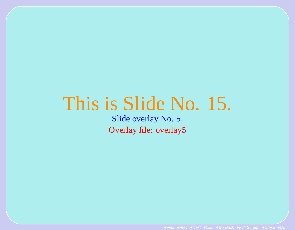#### This is Slide No. 15.

Slide overlay No. 5. Overlay file: overlay5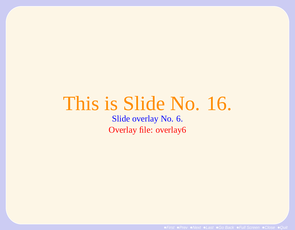## This is Slide No. 16.

Slide overlay No. 6. Overlay file: overlay6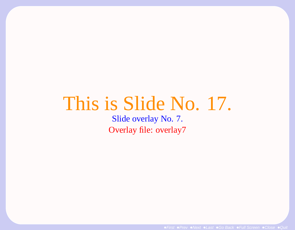### This is Slide No. 17.

Slide overlay No. 7. Overlay file: overlay7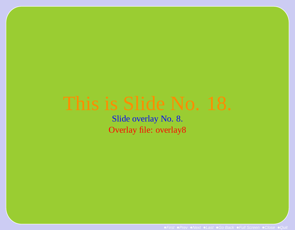Slide overlay No. 8. Overlay file: overlay8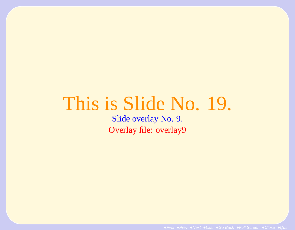## This is Slide No. 19.

Slide overlay No. 9. Overlay file: overlay9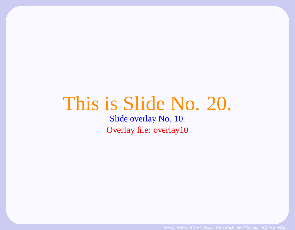# This is Slide No. 20.

Slide overlay No. 10. Overlay file: overlay10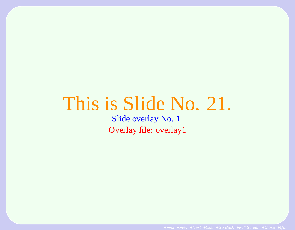## This is Slide No. 21.

Slide overlay No. 1. Overlay file: overlay1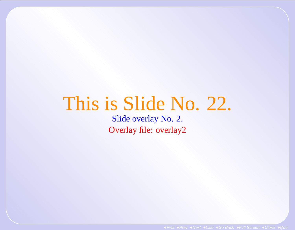# This is Slide No. 22.

Slide overlay No. 2. Overlay file: overlay2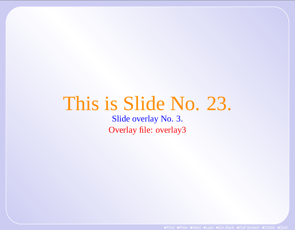## This is Slide No. 23.

Slide overlay No. 3. Overlay file: overlay3